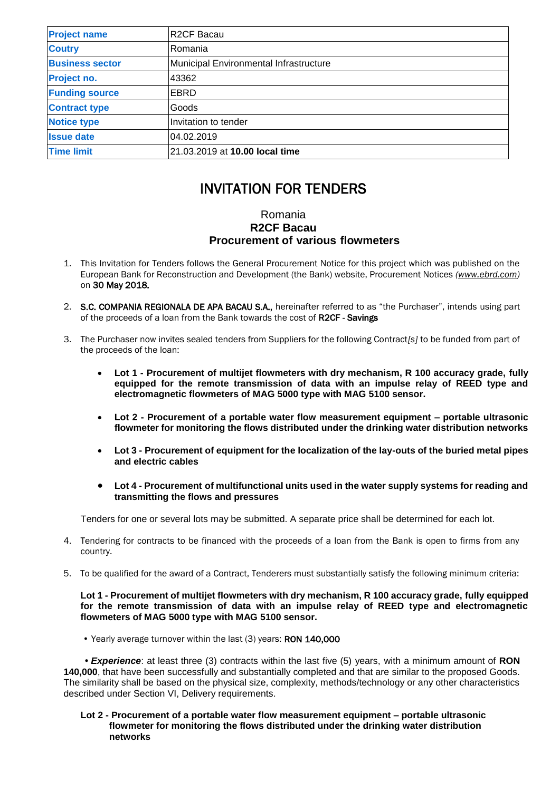| <b>Project name</b>    | <b>R2CF Bacau</b>                      |
|------------------------|----------------------------------------|
| <b>Coutry</b>          | Romania                                |
| <b>Business sector</b> | Municipal Environmental Infrastructure |
| Project no.            | 43362                                  |
| <b>Funding source</b>  | EBRD                                   |
| <b>Contract type</b>   | Goods                                  |
| <b>Notice type</b>     | Invitation to tender                   |
| <b>Issue date</b>      | 04.02.2019                             |
| <b>Time limit</b>      | 21.03.2019 at 10.00 local time         |

# INVITATION FOR TENDERS

# Romania **R2CF Bacau Procurement of various flowmeters**

- 1. This Invitation for Tenders follows the General Procurement Notice for this project which was published on the European Bank for Reconstruction and Development (the Bank) website, Procurement Notices *(www.ebrd.com)*  on 30 May 2018*.*
- 2. S.C. COMPANIA REGIONALA DE APA BACAU S.A., hereinafter referred to as "the Purchaser", intends using part of the proceeds of a loan from the Bank towards the cost of R2CF - Savings
- 3. The Purchaser now invites sealed tenders from Suppliers for the following Contract*[s]* to be funded from part of the proceeds of the loan:
	- **Lot 1 - Procurement of multijet flowmeters with dry mechanism, R 100 accuracy grade, fully equipped for the remote transmission of data with an impulse relay of REED type and electromagnetic flowmeters of MAG 5000 type with MAG 5100 sensor.**
	- **Lot 2 - Procurement of a portable water flow measurement equipment – portable ultrasonic flowmeter for monitoring the flows distributed under the drinking water distribution networks**
	- **Lot 3 - Procurement of equipment for the localization of the lay-outs of the buried metal pipes and electric cables**
	- **Lot 4 - Procurement of multifunctional units used in the water supply systems for reading and transmitting the flows and pressures**

Tenders for one or several lots may be submitted. A separate price shall be determined for each lot.

- 4. Tendering for contracts to be financed with the proceeds of a loan from the Bank is open to firms from any country.
- 5. To be qualified for the award of a Contract, Tenderers must substantially satisfy the following minimum criteria:

## **Lot 1 - Procurement of multijet flowmeters with dry mechanism, R 100 accuracy grade, fully equipped for the remote transmission of data with an impulse relay of REED type and electromagnetic flowmeters of MAG 5000 type with MAG 5100 sensor.**

• Yearly average turnover within the last (3) years: RON 140,000

 *• Experience*: at least three (3) contracts within the last five (5) years, with a minimum amount of **RON 140,000**, that have been successfully and substantially completed and that are similar to the proposed Goods. The similarity shall be based on the physical size, complexity, methods/technology or any other characteristics described under Section VI, Delivery requirements.

### **Lot 2 - Procurement of a portable water flow measurement equipment – portable ultrasonic flowmeter for monitoring the flows distributed under the drinking water distribution networks**